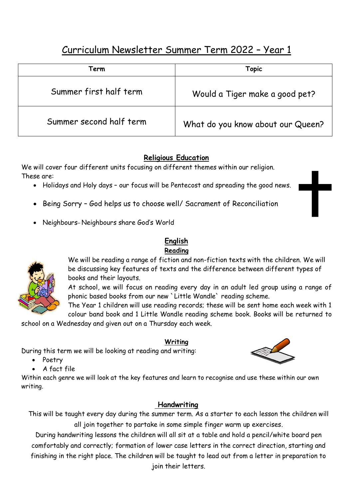# Curriculum Newsletter Summer Term 2022 – Year 1

| Term                    | Topic                             |
|-------------------------|-----------------------------------|
| Summer first half term  | Would a Tiger make a good pet?    |
| Summer second half term | What do you know about our Queen? |

## **Religious Education**

We will cover four different units focusing on different themes within our religion. These are:

- Holidays and Holy days our focus will be Pentecost and spreading the good news.
- Being Sorry God helps us to choose well/ Sacrament of Reconciliation
- Neighbours– Neighbours share God's World

## **English**

#### **Reading**

We will be reading a range of fiction and non-fiction texts with the children. We will be discussing key features of texts and the difference between different types of books and their layouts.

At school, we will focus on reading every day in an adult led group using a range of phonic based books from our new `Little Wandle` reading scheme.

The Year 1 children will use reading records; these will be sent home each week with 1 colour band book and 1 Little Wandle reading scheme book. Books will be returned to

school on a Wednesday and given out on a Thursday each week.

## **Writing**

During this term we will be looking at reading and writing:

- Poetry
- A fact file

Within each genre we will look at the key features and learn to recognise and use these within our own writing.

## **Handwriting**

This will be taught every day during the summer term. As a starter to each lesson the children will all join together to partake in some simple finger warm up exercises.

During handwriting lessons the children will all sit at a table and hold a pencil/white board pen comfortably and correctly; formation of lower case letters in the correct direction, starting and finishing in the right place. The children will be taught to lead out from a letter in preparation to join their letters.



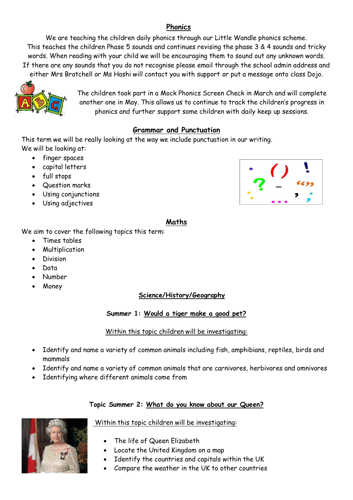#### **Phonics**

We are teaching the children daily phonics through our Little Wandle phonics scheme. This teaches the children Phase 5 sounds and continues revising the phase 3 & 4 sounds and tricky words. When reading with your child we will be encouraging them to sound out any unknown words. If there are any sounds that you do not recognise please email through the school admin address and either Mrs Bratchell or Ms Hashi will contact you with support or put a message onto class Dojo.



The children took part in a Mock Phonics Screen Check in March and will complete another one in May. This allows us to continue to track the children's progress in phonics and further support some children with daily keep up sessions.

## **Grammar and Punctuation**

This term we will be really looking at the way we include punctuation in our writing. We will be looking at:

- finger spaces
- capital letters
- full stops
- Question marks
- Using conjunctions
- Using adjectives



#### **Maths**

We aim to cover the following topics this term:

- Times tables
- Multiplication
- **•** Division
- Data
- Number
- Money

#### **Science/History/Geography**

**Summer 1: Would a tiger make a good pet?**

#### Within this topic children will be investigating:

- Identify and name a variety of common animals including fish, amphibians, reptiles, birds and mammals
- Identify and name a variety of common animals that are carnivores, herbivores and omnivores
- Identifying where different animals come from

#### **Topic Summer 2: What do you know about our Queen?**



Within this topic children will be investigating:

- The life of Queen Elizabeth
- Locate the United Kingdom on a map
- Identify the countries and capitals within the UK
- Compare the weather in the UK to other countries